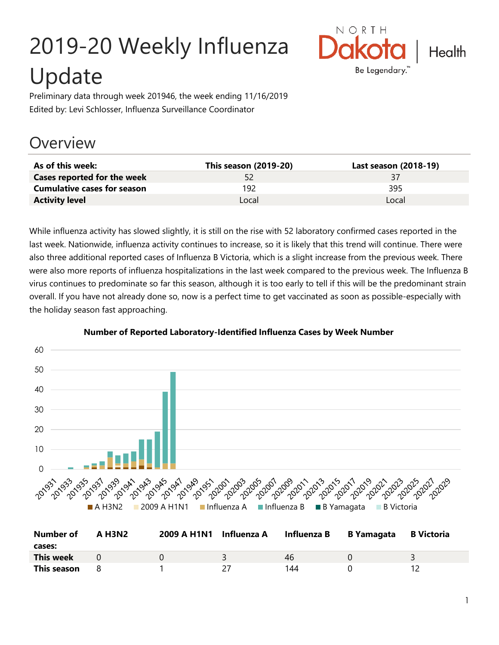# 2019-20 Weekly Influenza Update



Preliminary data through week 201946, the week ending 11/16/2019 Edited by: Levi Schlosser, Influenza Surveillance Coordinator

## **Overview**

| As of this week:                   | This season (2019-20) | Last season (2018-19) |
|------------------------------------|-----------------------|-----------------------|
| Cases reported for the week        | 52                    | 37                    |
| <b>Cumulative cases for season</b> | 192                   | 395                   |
| <b>Activity level</b>              | Local                 | Local                 |

While influenza activity has slowed slightly, it is still on the rise with 52 laboratory confirmed cases reported in the last week. Nationwide, influenza activity continues to increase, so it is likely that this trend will continue. There were also three additional reported cases of Influenza B Victoria, which is a slight increase from the previous week. There were also more reports of influenza hospitalizations in the last week compared to the previous week. The Influenza B virus continues to predominate so far this season, although it is too early to tell if this will be the predominant strain overall. If you have not already done so, now is a perfect time to get vaccinated as soon as possible-especially with the holiday season fast approaching.



#### **Number of Reported Laboratory-Identified Influenza Cases by Week Number**

| Number of   | <b>A H3N2</b> | 2009 A H1N1 Influenza A | Influenza B | <b>B</b> Yamagata | B Victoria |
|-------------|---------------|-------------------------|-------------|-------------------|------------|
| cases:      |               |                         |             |                   |            |
| This week   |               |                         | 46          |                   |            |
| This season |               |                         | 144         |                   |            |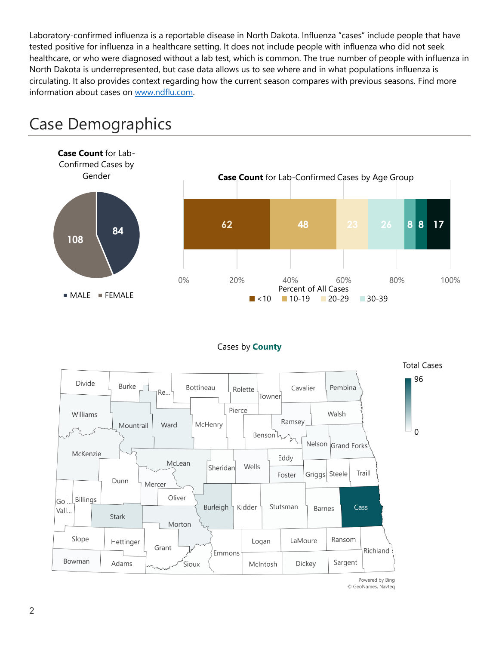Laboratory-confirmed influenza is a reportable disease in North Dakota. Influenza "cases" include people that have tested positive for influenza in a healthcare setting. It does not include people with influenza who did not seek healthcare, or who were diagnosed without a lab test, which is common. The true number of people with influenza in North Dakota is underrepresented, but case data allows us to see where and in what populations influenza is circulating. It also provides context regarding how the current season compares with previous seasons. Find more information about cases on [www.ndflu.com.](file://///nd.gov/doh/DOH-DATA/MSS/DC/PROGRAM/IMMUNE/Immunize/Influenza/Inf18-19/Surveillance/Weekly%20Summaries/www.ndflu.com)



## Case Demographics

#### Cases by **County**



© GeoNames, Navteq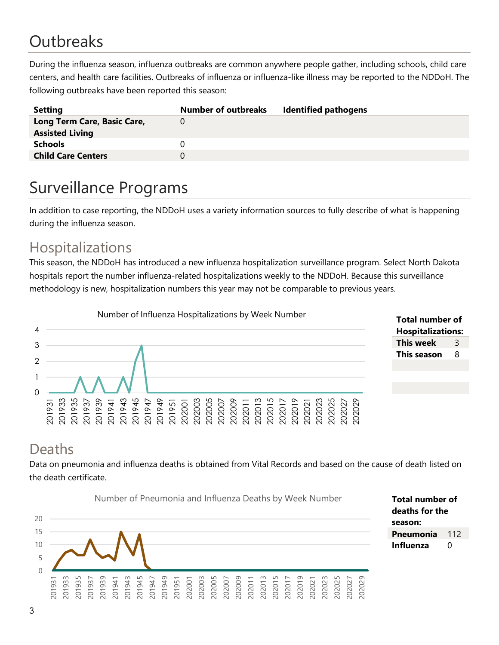# **Outbreaks**

During the influenza season, influenza outbreaks are common anywhere people gather, including schools, child care centers, and health care facilities. Outbreaks of influenza or influenza-like illness may be reported to the NDDoH. The following outbreaks have been reported this season:

| <b>Setting</b>              | <b>Number of outbreaks</b> | <b>Identified pathogens</b> |
|-----------------------------|----------------------------|-----------------------------|
| Long Term Care, Basic Care, |                            |                             |
| <b>Assisted Living</b>      |                            |                             |
| <b>Schools</b>              |                            |                             |
| <b>Child Care Centers</b>   |                            |                             |
|                             |                            |                             |

## Surveillance Programs

In addition to case reporting, the NDDoH uses a variety information sources to fully describe of what is happening during the influenza season.

#### Hospitalizations

This season, the NDDoH has introduced a new influenza hospitalization surveillance program. Select North Dakota hospitals report the number influenza-related hospitalizations weekly to the NDDoH. Because this surveillance methodology is new, hospitalization numbers this year may not be comparable to previous years.



| Total number of          |   |  |  |  |
|--------------------------|---|--|--|--|
| <b>Hospitalizations:</b> |   |  |  |  |
| This week                | З |  |  |  |
| <b>This season</b>       | 8 |  |  |  |

**Total number of deaths for the** 

**Pneumonia** 112 **Influenza** 0

**season:**

#### Deaths

Data on pneumonia and influenza deaths is obtained from Vital Records and based on the cause of death listed on the death certificate.



3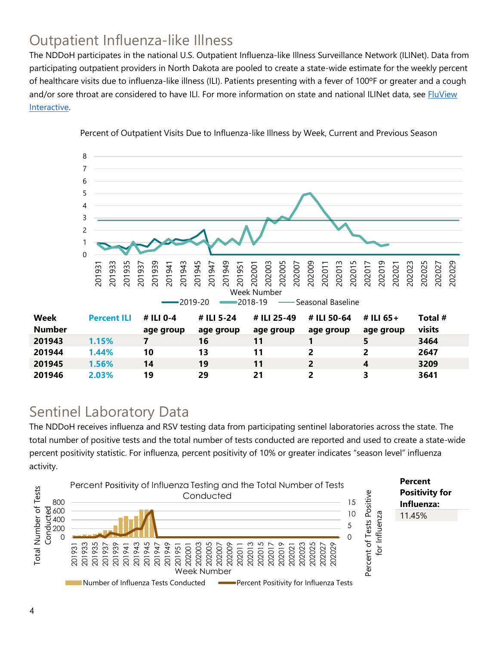### Outpatient Influenza-like Illness

The NDDoH participates in the national U.S. Outpatient Influenza-like Illness Surveillance Network (ILINet). Data from participating outpatient providers in North Dakota are pooled to create a state-wide estimate for the weekly percent of healthcare visits due to influenza-like illness (ILI). Patients presenting with a fever of 100ºF or greater and a cough and/or sore throat are considered to have ILI. For more information on state and national ILINet data, see **FluView** [Interactive.](https://gis.cdc.gov/grasp/fluview/fluportaldashboard.html)



Percent of Outpatient Visits Due to Influenza-like Illness by Week, Current and Previous Season

#### Sentinel Laboratory Data

The NDDoH receives influenza and RSV testing data from participating sentinel laboratories across the state. The total number of positive tests and the total number of tests conducted are reported and used to create a state-wide percent positivity statistic. For influenza, percent positivity of 10% or greater indicates "season level" influenza activity.

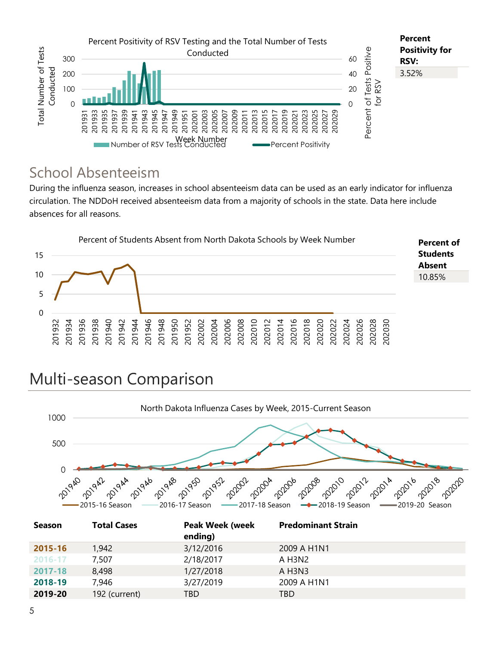

#### School Absenteeism

During the influenza season, increases in school absenteeism data can be used as an early indicator for influenza circulation. The NDDoH received absenteeism data from a majority of schools in the state. Data here include absences for all reasons.



## Multi-season Comparison